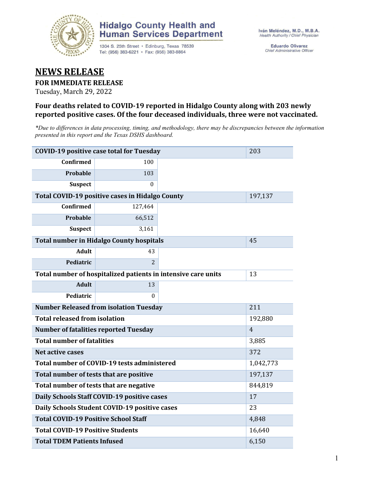

## **Hidalgo County Health and Human Services Department**

1304 S. 25th Street · Edinburg, Texas 78539 Tel: (956) 383-6221 · Fax: (956) 383-8864

**Eduardo Olivarez** Chief Administrative Officer

# **NEWS RELEASE**

#### **FOR IMMEDIATE RELEASE**

Tuesday, March 29, 2022

### **Four deaths related to COVID-19 reported in Hidalgo County along with 203 newly reported positive cases. Of the four deceased individuals, three were not vaccinated.**

*\*Due to differences in data processing, timing, and methodology, there may be discrepancies between the information presented in this report and the Texas DSHS dashboard.*

| <b>COVID-19 positive case total for Tuesday</b>               | 203                                             |                |    |
|---------------------------------------------------------------|-------------------------------------------------|----------------|----|
| <b>Confirmed</b>                                              | 100                                             |                |    |
| Probable                                                      | 103                                             |                |    |
| <b>Suspect</b>                                                | $\Omega$                                        |                |    |
| Total COVID-19 positive cases in Hidalgo County               |                                                 | 197,137        |    |
| <b>Confirmed</b>                                              | 127,464                                         |                |    |
| Probable                                                      | 66,512                                          |                |    |
| <b>Suspect</b>                                                | 3,161                                           |                |    |
|                                                               | <b>Total number in Hidalgo County hospitals</b> |                | 45 |
| <b>Adult</b>                                                  | 43                                              |                |    |
| Pediatric                                                     | $\overline{2}$                                  |                |    |
| Total number of hospitalized patients in intensive care units | 13                                              |                |    |
| <b>Adult</b>                                                  | 13                                              |                |    |
| Pediatric                                                     | 0                                               |                |    |
| <b>Number Released from isolation Tuesday</b>                 |                                                 | 211            |    |
| <b>Total released from isolation</b>                          |                                                 | 192,880        |    |
| <b>Number of fatalities reported Tuesday</b>                  |                                                 | $\overline{4}$ |    |
| <b>Total number of fatalities</b>                             | 3,885                                           |                |    |
| Net active cases                                              |                                                 | 372            |    |
| Total number of COVID-19 tests administered                   | 1,042,773                                       |                |    |
| Total number of tests that are positive                       | 197,137                                         |                |    |
| Total number of tests that are negative                       | 844,819                                         |                |    |
| Daily Schools Staff COVID-19 positive cases                   | 17                                              |                |    |
| Daily Schools Student COVID-19 positive cases                 | 23                                              |                |    |
| <b>Total COVID-19 Positive School Staff</b>                   | 4,848                                           |                |    |
| <b>Total COVID-19 Positive Students</b>                       | 16,640                                          |                |    |
| <b>Total TDEM Patients Infused</b>                            | 6,150                                           |                |    |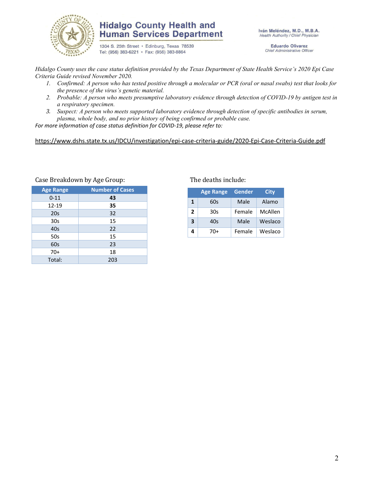

### **Hidalgo County Health and Human Services Department**

1304 S. 25th Street · Edinburg, Texas 78539 Tel: (956) 383-6221 · Fax: (956) 383-8864

Iván Meléndez, M.D., M.B.A. Health Authority / Chief Physician

> **Eduardo Olivarez** Chief Administrative Officer

*Hidalgo County uses the case status definition provided by the Texas Department of State Health Service's 2020 Epi Case Criteria Guide revised November 2020.*

- *1. Confirmed: A person who has tested positive through a molecular or PCR (oral or nasal swabs) test that looks for the presence of the virus's genetic material.*
- *2. Probable: A person who meets presumptive laboratory evidence through detection of COVID-19 by antigen test in a respiratory specimen.*
- *3. Suspect: A person who meets supported laboratory evidence through detection of specific antibodies in serum, plasma, whole body, and no prior history of being confirmed or probable case.*

*For more information of case status definition for COVID-19, please refer to:*

#### <https://www.dshs.state.tx.us/IDCU/investigation/epi-case-criteria-guide/2020-Epi-Case-Criteria-Guide.pdf>

| <b>Age Range</b> | <b>Number of Cases</b> |
|------------------|------------------------|
| $0 - 11$         | 43                     |
| $12 - 19$        | 35                     |
| 20s              | 32                     |
| 30 <sub>s</sub>  | 15                     |
| 40s              | 22                     |
| 50s              | 15                     |
| 60s              | 23                     |
| $70+$            | 18                     |
| Total:           | 203                    |

#### Case Breakdown by Age Group: The deaths include:

|   | <b>Age Range</b> | Gender | City    |
|---|------------------|--------|---------|
| 1 | 60s              | Male   | Alamo   |
| 2 | 30s              | Female | McAllen |
| 3 | 40s              | Male   | Weslaco |
| 4 | 70+              | Female | Weslaco |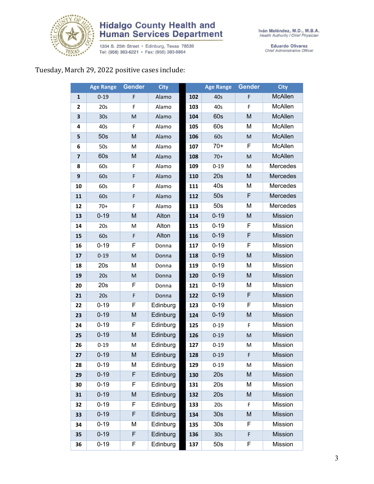

# **Hidalgo County Health and<br>Human Services Department**

1304 S. 25th Street • Edinburg, Texas 78539<br>Tel: (956) 383-6221 • Fax: (956) 383-8864

Eduardo Olivarez<br>Chief Administrative Officer

### Tuesday, March 29, 2022 positive cases include:

|                         | <b>Age Range</b> | <b>Gender</b> | <b>City</b> |     | <b>Age Range</b> | Gender         | <b>City</b>    |
|-------------------------|------------------|---------------|-------------|-----|------------------|----------------|----------------|
| $\mathbf{1}$            | $0 - 19$         | F             | Alamo       | 102 | 40s              | F              | McAllen        |
| 2                       | 20s              | F             | Alamo       | 103 | 40s              | F              | McAllen        |
| 3                       | 30 <sub>s</sub>  | M             | Alamo       | 104 | 60s              | M              | McAllen        |
| 4                       | 40s              | F             | Alamo       | 105 | 60s              | M              | McAllen        |
| 5                       | 50s              | M             | Alamo       | 106 | 60s              | M              | McAllen        |
| 6                       | 50s              | M             | Alamo       | 107 | $70+$            | F              | McAllen        |
| $\overline{\mathbf{z}}$ | 60s              | M             | Alamo       | 108 | $70+$            | M              | McAllen        |
| 8                       | 60s              | F             | Alamo       | 109 | $0 - 19$         | M              | Mercedes       |
| 9                       | 60s              | F             | Alamo       | 110 | 20s              | M              | Mercedes       |
| 10                      | 60s              | F             | Alamo       | 111 | 40s              | M              | Mercedes       |
| 11                      | 60s              | F             | Alamo       | 112 | 50s              | F              | Mercedes       |
| 12                      | $70+$            | F             | Alamo       | 113 | 50s              | M              | Mercedes       |
| 13                      | $0 - 19$         | M             | Alton       | 114 | $0 - 19$         | M              | <b>Mission</b> |
| 14                      | 20s              | M             | Alton       | 115 | $0 - 19$         | F              | Mission        |
| 15                      | 60s              | F             | Alton       | 116 | $0 - 19$         | $\overline{F}$ | Mission        |
| 16                      | $0 - 19$         | F             | Donna       | 117 | $0 - 19$         | F              | Mission        |
| 17                      | $0 - 19$         | ${\sf M}$     | Donna       | 118 | $0 - 19$         | M              | Mission        |
| 18                      | 20s              | M             | Donna       | 119 | $0 - 19$         | M              | Mission        |
| 19                      | 20s              | M             | Donna       | 120 | $0 - 19$         | M              | <b>Mission</b> |
| 20                      | 20s              | F             | Donna       | 121 | $0 - 19$         | M              | Mission        |
| 21                      | 20s              | F             | Donna       | 122 | $0 - 19$         | F              | <b>Mission</b> |
| 22                      | $0 - 19$         | F             | Edinburg    | 123 | $0 - 19$         | F              | Mission        |
| 23                      | $0 - 19$         | M             | Edinburg    | 124 | $0 - 19$         | M              | Mission        |
| 24                      | $0 - 19$         | F             | Edinburg    | 125 | $0 - 19$         | F              | Mission        |
| 25                      | $0 - 19$         | M             | Edinburg    | 126 | $0 - 19$         | M              | Mission        |
| 26                      | $0 - 19$         | M             | Edinburg    | 127 | $0 - 19$         | M              | Mission        |
| 27                      | $0 - 19$         | M             | Edinburg    | 128 | $0 - 19$         | F              | <b>Mission</b> |
| 28                      | $0 - 19$         | М             | Edinburg    | 129 | $0 - 19$         | М              | Mission        |
| 29                      | $0 - 19$         | F             | Edinburg    | 130 | 20s              | M              | Mission        |
| 30                      | $0 - 19$         | F             | Edinburg    | 131 | 20s              | M              | Mission        |
| 31                      | $0 - 19$         | M             | Edinburg    | 132 | 20s              | M              | <b>Mission</b> |
| 32                      | $0 - 19$         | F             | Edinburg    | 133 | 20s              | F              | Mission        |
| 33                      | $0 - 19$         | F             | Edinburg    | 134 | 30s              | M              | Mission        |
| 34                      | $0 - 19$         | M             | Edinburg    | 135 | 30 <sub>s</sub>  | F              | Mission        |
| 35                      | $0 - 19$         | F             | Edinburg    | 136 | 30s              | F              | <b>Mission</b> |
| 36                      | $0 - 19$         | F             | Edinburg    | 137 | 50s              | F              | Mission        |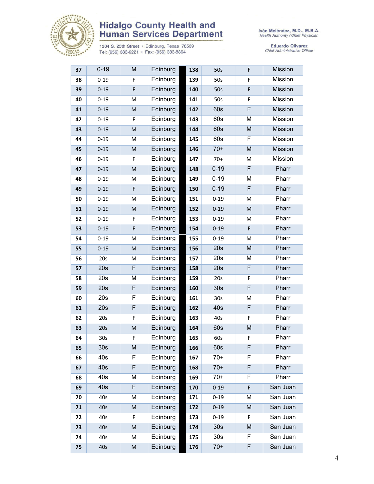

# **Hidalgo County Health and<br>Human Services Department**

1304 S. 25th Street • Edinburg, Texas 78539<br>Tel: (956) 383-6221 • Fax: (956) 383-8864

Eduardo Olivarez<br>Chief Administrative Officer

| 37 | $0 - 19$        | M                                                                                                          | Edinburg | 138 | 50s             | F              | <b>Mission</b> |
|----|-----------------|------------------------------------------------------------------------------------------------------------|----------|-----|-----------------|----------------|----------------|
| 38 | $0 - 19$        | F                                                                                                          | Edinburg | 139 | 50s             | F              | Mission        |
| 39 | $0 - 19$        | $\mathsf F$                                                                                                | Edinburg | 140 | 50s             | F              | <b>Mission</b> |
| 40 | $0 - 19$        | M                                                                                                          | Edinburg | 141 | 50s             | F              | Mission        |
| 41 | $0 - 19$        | ${\sf M}$                                                                                                  | Edinburg | 142 | 60s             | F              | Mission        |
| 42 | $0 - 19$        | F                                                                                                          | Edinburg | 143 | 60s             | M              | Mission        |
| 43 | $0 - 19$        | $\mathsf{M}% _{T}=\mathsf{M}_{T}\!\left( a,b\right) ,\ \mathsf{M}_{T}=\mathsf{M}_{T}\!\left( a,b\right) ,$ | Edinburg | 144 | 60s             | ${\sf M}$      | <b>Mission</b> |
| 44 | $0 - 19$        | M                                                                                                          | Edinburg | 145 | 60s             | F              | Mission        |
| 45 | $0 - 19$        | $\mathsf{M}% _{T}=\mathsf{M}_{T}\!\left( a,b\right) ,\ \mathsf{M}_{T}=\mathsf{M}_{T}\!\left( a,b\right) ,$ | Edinburg | 146 | $70+$           | ${\sf M}$      | Mission        |
| 46 | $0 - 19$        | F                                                                                                          | Edinburg | 147 | $70+$           | M              | Mission        |
| 47 | $0 - 19$        | $\mathsf{M}% _{T}=\mathsf{M}_{T}\!\left( a,b\right) ,\ \mathsf{M}_{T}=\mathsf{M}_{T}\!\left( a,b\right) ,$ | Edinburg | 148 | $0 - 19$        | F              | Pharr          |
| 48 | $0 - 19$        | M                                                                                                          | Edinburg | 149 | $0 - 19$        | M              | Pharr          |
| 49 | $0 - 19$        | F                                                                                                          | Edinburg | 150 | $0 - 19$        | $\overline{F}$ | Pharr          |
| 50 | $0 - 19$        | M                                                                                                          | Edinburg | 151 | $0 - 19$        | M              | Pharr          |
| 51 | $0 - 19$        | M                                                                                                          | Edinburg | 152 | $0 - 19$        | M              | Pharr          |
| 52 | $0 - 19$        | F                                                                                                          | Edinburg | 153 | $0 - 19$        | M              | Pharr          |
| 53 | $0 - 19$        | F                                                                                                          | Edinburg | 154 | $0 - 19$        | F              | Pharr          |
| 54 | $0 - 19$        | M                                                                                                          | Edinburg | 155 | $0 - 19$        | M              | Pharr          |
| 55 | $0 - 19$        | ${\sf M}$                                                                                                  | Edinburg | 156 | 20s             | M              | Pharr          |
| 56 | 20s             | M                                                                                                          | Edinburg | 157 | 20s             | M              | Pharr          |
| 57 | 20s             | F                                                                                                          | Edinburg | 158 | 20s             | F              | Pharr          |
| 58 | 20s             | M                                                                                                          | Edinburg | 159 | 20s             | F              | Pharr          |
| 59 | 20s             | $\overline{F}$                                                                                             | Edinburg | 160 | 30s             | F              | Pharr          |
| 60 | 20s             | F                                                                                                          | Edinburg | 161 | 30s             | M              | Pharr          |
| 61 | 20s             | F                                                                                                          | Edinburg | 162 | 40s             | F              | Pharr          |
| 62 | 20s             | F                                                                                                          | Edinburg | 163 | 40s             | F              | Pharr          |
| 63 | 20s             | $\mathsf{M}% _{T}=\mathsf{M}_{T}\!\left( a,b\right) ,\ \mathsf{M}_{T}=\mathsf{M}_{T}\!\left( a,b\right) ,$ | Edinburg | 164 | 60s             | ${\sf M}$      | Pharr          |
| 64 | 30 <sub>s</sub> | F                                                                                                          | Edinburg | 165 | 60s             | F              | Pharr          |
| 65 | 30 <sub>s</sub> | M                                                                                                          | Edinburg | 166 | 60s             | F              | Pharr          |
| 66 | 40s             | F                                                                                                          | Edinburg | 167 | $70+$           | F              | Pharr          |
| 67 | 40s             | F                                                                                                          | Edinburg | 168 | $70+$           | F              | Pharr          |
| 68 | 40s             | M                                                                                                          | Edinburg | 169 | $70+$           | F              | Pharr          |
| 69 | 40s             | F                                                                                                          | Edinburg | 170 | $0 - 19$        | F              | San Juan       |
| 70 | 40s             | M                                                                                                          | Edinburg | 171 | $0 - 19$        | M              | San Juan       |
| 71 | 40s             | M                                                                                                          | Edinburg | 172 | $0 - 19$        | ${\sf M}$      | San Juan       |
| 72 | 40s             | F                                                                                                          | Edinburg | 173 | $0 - 19$        | F              | San Juan       |
| 73 | 40s             | M                                                                                                          | Edinburg | 174 | 30 <sub>s</sub> | M              | San Juan       |
| 74 | 40s             | M                                                                                                          | Edinburg | 175 | 30 <sub>s</sub> | F              | San Juan       |
| 75 | 40s             | M                                                                                                          | Edinburg | 176 | $70+$           | F              | San Juan       |